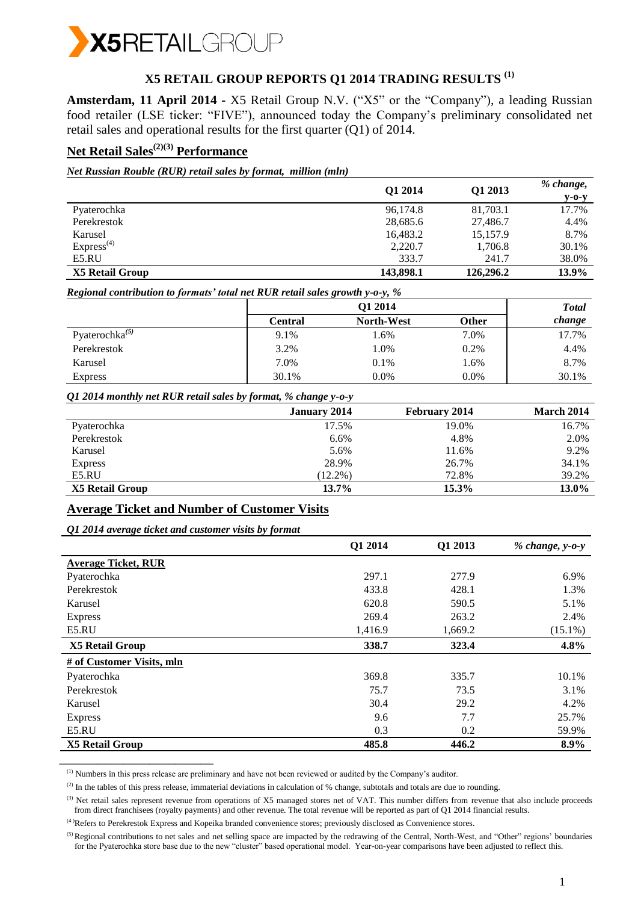

# **X5 RETAIL GROUP REPORTS Q1 2014 TRADING RESULTS (1)**

**Amsterdam, 11 April 2014 -** X5 Retail Group N.V. ("X5" or the "Company"), a leading Russian food retailer (LSE ticker: "FIVE"), announced today the Company's preliminary consolidated net retail sales and operational results for the first quarter (Q1) of 2014.

## **Net Retail Sales(2)(3) Performance**

*Net Russian Rouble (RUR) retail sales by format, million (mln)*

|                        | Q1 2014   | Q1 2013   | % change,<br>$V-O-V$ |
|------------------------|-----------|-----------|----------------------|
| Pyaterochka            | 96,174.8  | 81,703.1  | 17.7%                |
| Perekrestok            | 28,685.6  | 27,486.7  | 4.4%                 |
| Karusel                | 16,483.2  | 15,157.9  | 8.7%                 |
| Express <sup>(4)</sup> | 2,220.7   | 1,706.8   | 30.1%                |
| E5.RU                  | 333.7     | 241.7     | 38.0%                |
| X5 Retail Group        | 143,898.1 | 126,296.2 | 13.9%                |

*Regional contribution to formats' total net RUR retail sales growth y-o-y, %*

|                      | Q1 2014 |                   |              |        |
|----------------------|---------|-------------------|--------------|--------|
|                      | Central | <b>North-West</b> | <b>Other</b> | change |
| Pyaterochka $^{(5)}$ | 9.1%    | 1.6%              | 7.0%         | 17.7%  |
| Perekrestok          | 3.2%    | 1.0%              | 0.2%         | 4.4%   |
| Karusel              | 7.0%    | $0.1\%$           | 1.6%         | 8.7%   |
| <b>Express</b>       | 30.1%   | $0.0\%$           | 0.0%         | 30.1%  |

#### *Q1 2014 monthly net RUR retail sales by format, % change y-o-y*

| $\tilde{\phantom{a}}$ | ັ້<br>. .           |                      |            |
|-----------------------|---------------------|----------------------|------------|
|                       | <b>January 2014</b> | <b>February 2014</b> | March 2014 |
| Pyaterochka           | 17.5%               | 19.0%                | 16.7%      |
| Perekrestok           | 6.6%                | 4.8%                 | 2.0%       |
| Karusel               | 5.6%                | 11.6%                | 9.2%       |
| <b>Express</b>        | 28.9%               | 26.7%                | 34.1%      |
| E5.RU                 | $(12.2\%)$          | 72.8%                | 39.2%      |
| X5 Retail Group       | 13.7%               | $15.3\%$             | 13.0%      |

### **Average Ticket and Number of Customer Visits**

*Q1 2014 average ticket and customer visits by format*

\_\_\_\_\_\_\_\_\_\_\_\_\_\_\_\_\_\_\_\_\_\_\_\_

|                            | Q1 2014 | Q1 2013 | $% change, y-o-y$ |
|----------------------------|---------|---------|-------------------|
| <b>Average Ticket, RUR</b> |         |         |                   |
| Pyaterochka                | 297.1   | 277.9   | 6.9%              |
| Perekrestok                | 433.8   | 428.1   | 1.3%              |
| Karusel                    | 620.8   | 590.5   | 5.1%              |
| <b>Express</b>             | 269.4   | 263.2   | 2.4%              |
| E5.RU                      | 1,416.9 | 1,669.2 | $(15.1\%)$        |
| <b>X5 Retail Group</b>     | 338.7   | 323.4   | 4.8%              |
| # of Customer Visits, mln  |         |         |                   |
| Pyaterochka                | 369.8   | 335.7   | 10.1%             |
| Perekrestok                | 75.7    | 73.5    | 3.1%              |
| Karusel                    | 30.4    | 29.2    | 4.2%              |
| <b>Express</b>             | 9.6     | 7.7     | 25.7%             |
| E5.RU                      | 0.3     | 0.2     | 59.9%             |
| <b>X5 Retail Group</b>     | 485.8   | 446.2   | 8.9%              |

(1) Numbers in this press release are preliminary and have not been reviewed or audited by the Company's auditor.

 $^{(2)}$  In the tables of this press release, immaterial deviations in calculation of % change, subtotals and totals are due to rounding.

<sup>(3)</sup> Net retail sales represent revenue from operations of X5 managed stores net of VAT. This number differs from revenue that also include proceeds from direct franchisees (royalty payments) and other revenue. The total revenue will be reported as part of Q1 2014 financial results.

(4 )Refers to Perekrestok Express and Kopeika branded convenience stores; previously disclosed as Convenience stores.

<sup>(5)</sup>Regional contributions to net sales and net selling space are impacted by the redrawing of the Central, North-West, and "Other" regions' boundaries for the Pyaterochka store base due to the new "cluster" based operational model. Year-on-year comparisons have been adjusted to reflect this.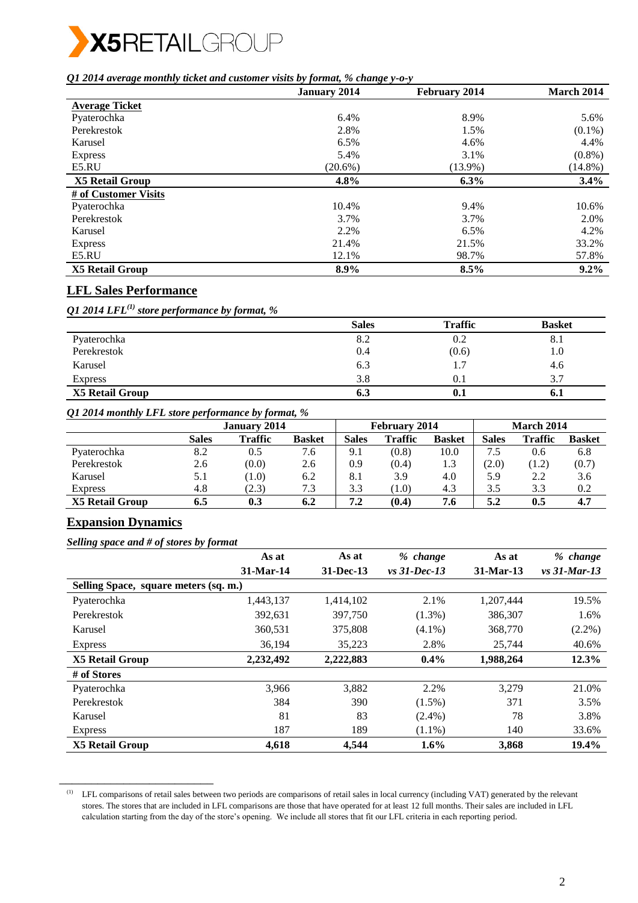

*Q1 2014 average monthly ticket and customer visits by format, % change y-o-y*

|                        | <b>January 2014</b> |            | March 2014 |
|------------------------|---------------------|------------|------------|
| <b>Average Ticket</b>  |                     |            |            |
| Pyaterochka            | 6.4%                | 8.9%       | 5.6%       |
| Perekrestok            | 2.8%                | 1.5%       | $(0.1\%)$  |
| Karusel                | 6.5%                | 4.6%       | 4.4%       |
| <b>Express</b>         | 5.4%                | 3.1%       | $(0.8\%)$  |
| E5.RU                  | $(20.6\%)$          | $(13.9\%)$ | $(14.8\%)$ |
| <b>X5 Retail Group</b> | 4.8%                | $6.3\%$    | $3.4\%$    |
| # of Customer Visits   |                     |            |            |
| Pyaterochka            | 10.4%               | 9.4%       | 10.6%      |
| Perekrestok            | 3.7%                | 3.7%       | 2.0%       |
| Karusel                | 2.2%                | 6.5%       | 4.2%       |
| <b>Express</b>         | 21.4%               | 21.5%      | 33.2%      |
| E5.RU                  | 12.1%               | 98.7%      | 57.8%      |
| <b>X5 Retail Group</b> | 8.9%                | 8.5%       | $9.2\%$    |

## **LFL Sales Performance**

*Q1 2014 LFL(1) store performance by format, %*

|                 | <b>Sales</b> | <b>Traffic</b> | <b>Basket</b> |
|-----------------|--------------|----------------|---------------|
| Pyaterochka     | 8.2          | 0.2            | ð. 1          |
| Perekrestok     | 0.4          | (0.6)          | 1.0           |
| Karusel         | 6.3          | 1.7            | 4.6           |
| <b>Express</b>  | 3.8          | 0.1            | 3.7           |
| X5 Retail Group | 6.3          | 0.1            | 0.1           |

*Q1 2014 monthly LFL store performance by format, %* 

|                        |       | January 2014   |               |       | <b>February 2014</b> |               |              | March 2014     |               |
|------------------------|-------|----------------|---------------|-------|----------------------|---------------|--------------|----------------|---------------|
|                        | Sales | <b>Traffic</b> | <b>Basket</b> | Sales | <b>Traffic</b>       | <b>Basket</b> | <b>Sales</b> | <b>Traffic</b> | <b>Basket</b> |
| Pyaterochka            | 8.2   | 0.5            | 7.6           | 9.1   | (0.8)                | 10.0          | ⇁<br>د.י     | 0.6            | 6.8           |
| Perekrestok            | 2.6   | (0.0)          | 2.6           | 0.9   | (0.4)                | 1.3           | (2.0)        | (1.2)          | (0.7)         |
| Karusel                | 5.1   | (1.0)          | 6.2           | 8.1   | 3.9                  | 4.0           | 5.9          | 2.2            | 3.6           |
| <b>Express</b>         | 4.8   | (2.3)          | 7.3           | 3.3   | (1.0)                | 4.3           | 3.5          | 3.3            | 0.2           |
| <b>X5 Retail Group</b> | 6.5   | 0.3            | 6.2           | 7.2   | (0.4)                | 7.6           | 5.2          | 0.5            | 4.7           |

## **Expansion Dynamics**

*Selling space and # of stores by format*

\_\_\_\_\_\_\_\_\_\_\_\_\_\_\_\_\_\_\_\_\_\_\_\_

|                                       | As at     | As at         | % change        | As at     | % change         |
|---------------------------------------|-----------|---------------|-----------------|-----------|------------------|
|                                       | 31-Mar-14 | $31 - Dec-13$ | $vs. 31-Dec-13$ | 31-Mar-13 | $vs. 31$ -Mar-13 |
| Selling Space, square meters (sq. m.) |           |               |                 |           |                  |
| Pyaterochka                           | 1,443,137 | 1,414,102     | 2.1%            | 1,207,444 | 19.5%            |
| Perekrestok                           | 392,631   | 397,750       | $(1.3\%)$       | 386,307   | 1.6%             |
| Karusel                               | 360,531   | 375,808       | $(4.1\%)$       | 368,770   | $(2.2\%)$        |
| <b>Express</b>                        | 36.194    | 35,223        | 2.8%            | 25.744    | 40.6%            |
| <b>X5 Retail Group</b>                | 2,232,492 | 2,222,883     | $0.4\%$         | 1,988,264 | 12.3%            |
| # of Stores                           |           |               |                 |           |                  |
| Pyaterochka                           | 3.966     | 3,882         | 2.2%            | 3,279     | 21.0%            |
| Perekrestok                           | 384       | 390           | $(1.5\%)$       | 371       | 3.5%             |
| Karusel                               | 81        | 83            | $(2.4\%)$       | 78        | 3.8%             |
| <b>Express</b>                        | 187       | 189           | $(1.1\%)$       | 140       | 33.6%            |
| <b>X5 Retail Group</b>                | 4,618     | 4.544         | $1.6\%$         | 3,868     | 19.4%            |

<sup>(1)</sup> LFL comparisons of retail sales between two periods are comparisons of retail sales in local currency (including VAT) generated by the relevant stores. The stores that are included in LFL comparisons are those that have operated for at least 12 full months. Their sales are included in LFL calculation starting from the day of the store's opening. We include all stores that fit our LFL criteria in each reporting period.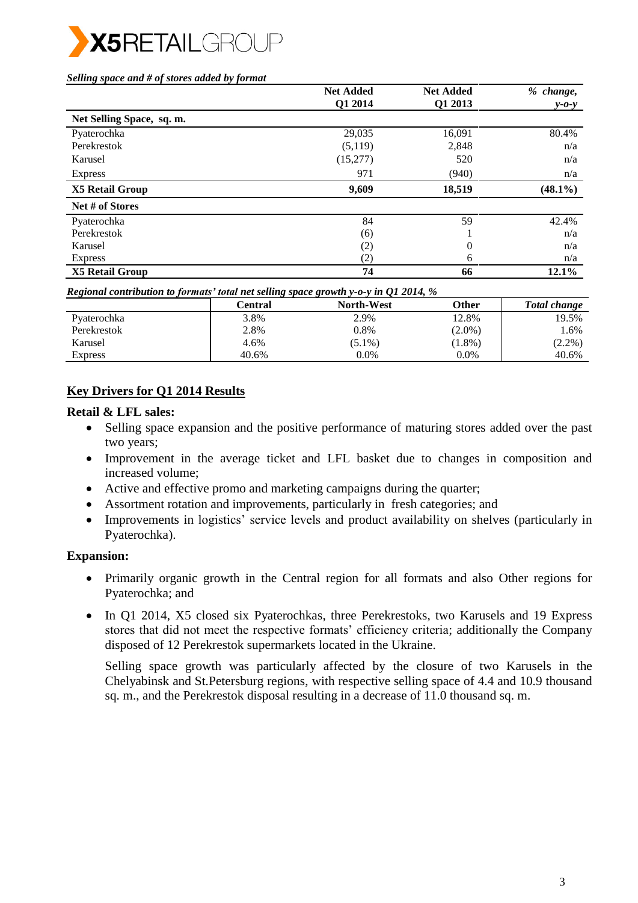

#### *Selling space and # of stores added by format*

|                           | <b>Net Added</b> | <b>Net Added</b> | % change,   |
|---------------------------|------------------|------------------|-------------|
|                           | Q1 2014          | Q1 2013          | $y - 0 - y$ |
| Net Selling Space, sq. m. |                  |                  |             |
| Pyaterochka               | 29,035           | 16,091           | 80.4%       |
| Perekrestok               | (5,119)          | 2,848            | n/a         |
| Karusel                   | (15,277)         | 520              | n/a         |
| <b>Express</b>            | 971              | (940)            | n/a         |
| X5 Retail Group           | 9,609            | 18,519           | $(48.1\%)$  |
| Net # of Stores           |                  |                  |             |
| Pyaterochka               | 84               | 59               | 42.4%       |
| Perekrestok               | (6)              |                  | n/a         |
| Karusel                   | (2)              | $\overline{0}$   | n/a         |
| <b>Express</b>            | (2)              | 6                | n/a         |
| <b>X5 Retail Group</b>    | 74               | 66               | 12.1%       |

*Regional contribution to formats' total net selling space growth y-o-y in Q1 2014, %* 

|             | Central | <b>North-West</b> | Other     | <b>Total change</b> |
|-------------|---------|-------------------|-----------|---------------------|
| Pyaterochka | 3.8%    | 2.9%              | 12.8%     | 19.5%               |
| Perekrestok | 2.8%    | 0.8%              | $(2.0\%)$ | 1.6%                |
| Karusel     | 4.6%    | $(5.1\%)$         | $(1.8\%)$ | $(2.2\%)$           |
| Express     | 40.6%   | $0.0\%$           | 0.0%      | 40.6%               |

## **Key Drivers for Q1 2014 Results**

#### **Retail & LFL sales:**

- Selling space expansion and the positive performance of maturing stores added over the past two years;
- Improvement in the average ticket and LFL basket due to changes in composition and increased volume;
- Active and effective promo and marketing campaigns during the quarter;
- Assortment rotation and improvements, particularly in fresh categories; and
- Improvements in logistics' service levels and product availability on shelves (particularly in Pyaterochka).

## **Expansion:**

- Primarily organic growth in the Central region for all formats and also Other regions for Pyaterochka; and
- In Q1 2014, X5 closed six Pyaterochkas, three Perekrestoks, two Karusels and 19 Express stores that did not meet the respective formats' efficiency criteria; additionally the Company disposed of 12 Perekrestok supermarkets located in the Ukraine.

Selling space growth was particularly affected by the closure of two Karusels in the Chelyabinsk and St.Petersburg regions, with respective selling space of 4.4 and 10.9 thousand sq. m., and the Perekrestok disposal resulting in a decrease of 11.0 thousand sq. m.